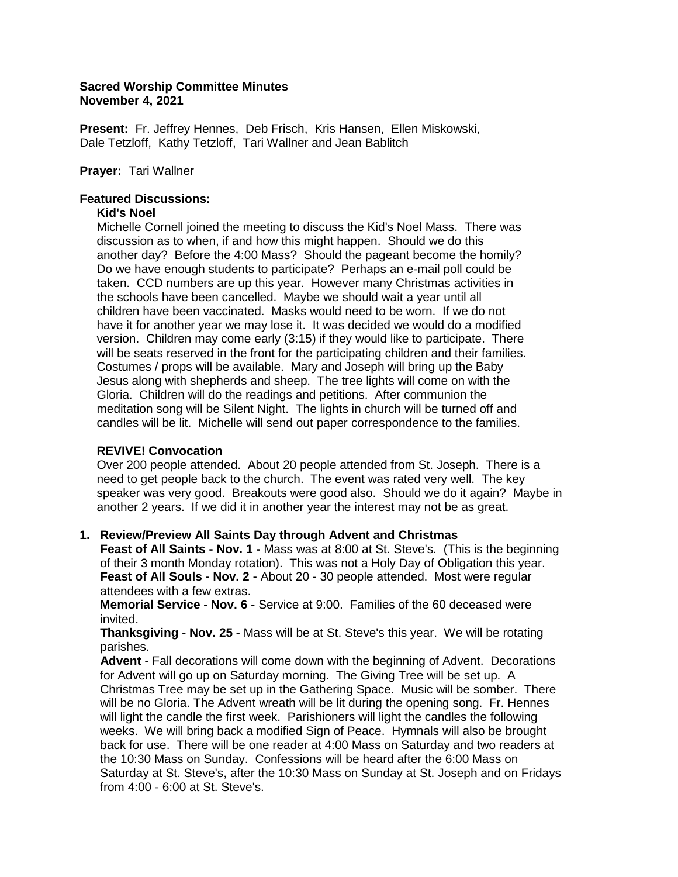# **Sacred Worship Committee Minutes November 4, 2021**

**Present:** Fr. Jeffrey Hennes, Deb Frisch, Kris Hansen, Ellen Miskowski, Dale Tetzloff, Kathy Tetzloff, Tari Wallner and Jean Bablitch

# **Prayer:** Tari Wallner

# **Featured Discussions:**

### **Kid's Noel**

 Michelle Cornell joined the meeting to discuss the Kid's Noel Mass. There was discussion as to when, if and how this might happen. Should we do this another day? Before the 4:00 Mass? Should the pageant become the homily? Do we have enough students to participate? Perhaps an e-mail poll could be taken. CCD numbers are up this year. However many Christmas activities in the schools have been cancelled. Maybe we should wait a year until all children have been vaccinated. Masks would need to be worn. If we do not have it for another year we may lose it. It was decided we would do a modified version. Children may come early (3:15) if they would like to participate. There will be seats reserved in the front for the participating children and their families. Costumes / props will be available. Mary and Joseph will bring up the Baby Jesus along with shepherds and sheep. The tree lights will come on with the Gloria. Children will do the readings and petitions. After communion the meditation song will be Silent Night. The lights in church will be turned off and candles will be lit. Michelle will send out paper correspondence to the families.

# **REVIVE! Convocation**

 Over 200 people attended. About 20 people attended from St. Joseph. There is a need to get people back to the church. The event was rated very well. The key speaker was very good. Breakouts were good also. Should we do it again? Maybe in another 2 years. If we did it in another year the interest may not be as great.

# **1. Review/Preview All Saints Day through Advent and Christmas**

 **Feast of All Saints - Nov. 1 -** Mass was at 8:00 at St. Steve's. (This is the beginning of their 3 month Monday rotation). This was not a Holy Day of Obligation this year. **Feast of All Souls - Nov. 2 -** About 20 - 30 people attended. Most were regular attendees with a few extras.

 **Memorial Service - Nov. 6 -** Service at 9:00. Families of the 60 deceased were invited.

 **Thanksgiving - Nov. 25 -** Mass will be at St. Steve's this year. We will be rotating parishes.

 **Advent -** Fall decorations will come down with the beginning of Advent. Decorations for Advent will go up on Saturday morning. The Giving Tree will be set up. A Christmas Tree may be set up in the Gathering Space. Music will be somber. There will be no Gloria. The Advent wreath will be lit during the opening song. Fr. Hennes will light the candle the first week. Parishioners will light the candles the following weeks. We will bring back a modified Sign of Peace. Hymnals will also be brought back for use. There will be one reader at 4:00 Mass on Saturday and two readers at the 10:30 Mass on Sunday. Confessions will be heard after the 6:00 Mass on Saturday at St. Steve's, after the 10:30 Mass on Sunday at St. Joseph and on Fridays from 4:00 - 6:00 at St. Steve's.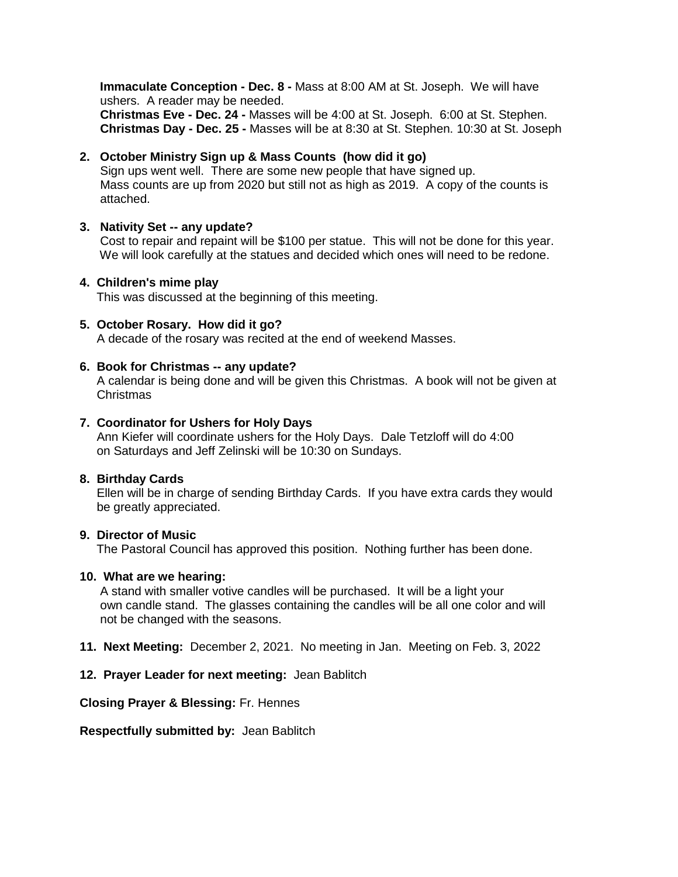**Immaculate Conception - Dec. 8 -** Mass at 8:00 AM at St. Joseph. We will have ushers. A reader may be needed. **Christmas Eve - Dec. 24 -** Masses will be 4:00 at St. Joseph. 6:00 at St. Stephen. **Christmas Day - Dec. 25 -** Masses will be at 8:30 at St. Stephen. 10:30 at St. Joseph

# **2. October Ministry Sign up & Mass Counts (how did it go)**

 Sign ups went well. There are some new people that have signed up. Mass counts are up from 2020 but still not as high as 2019. A copy of the counts is attached.

#### **3. Nativity Set -- any update?**

Cost to repair and repaint will be \$100 per statue. This will not be done for this year. We will look carefully at the statues and decided which ones will need to be redone.

#### **4. Children's mime play**

This was discussed at the beginning of this meeting.

#### **5. October Rosary. How did it go?**

A decade of the rosary was recited at the end of weekend Masses.

#### **6. Book for Christmas -- any update?**

 A calendar is being done and will be given this Christmas. A book will not be given at Christmas

#### **7. Coordinator for Ushers for Holy Days**

Ann Kiefer will coordinate ushers for the Holy Days. Dale Tetzloff will do 4:00 on Saturdays and Jeff Zelinski will be 10:30 on Sundays.

#### **8. Birthday Cards**

 Ellen will be in charge of sending Birthday Cards. If you have extra cards they would be greatly appreciated.

### **9. Director of Music**

The Pastoral Council has approved this position. Nothing further has been done.

#### **10. What are we hearing:**

 A stand with smaller votive candles will be purchased. It will be a light your own candle stand. The glasses containing the candles will be all one color and will not be changed with the seasons.

- **11. Next Meeting:** December 2, 2021. No meeting in Jan. Meeting on Feb. 3, 2022
- **12. Prayer Leader for next meeting:** Jean Bablitch

**Closing Prayer & Blessing:** Fr. Hennes

**Respectfully submitted by:** Jean Bablitch